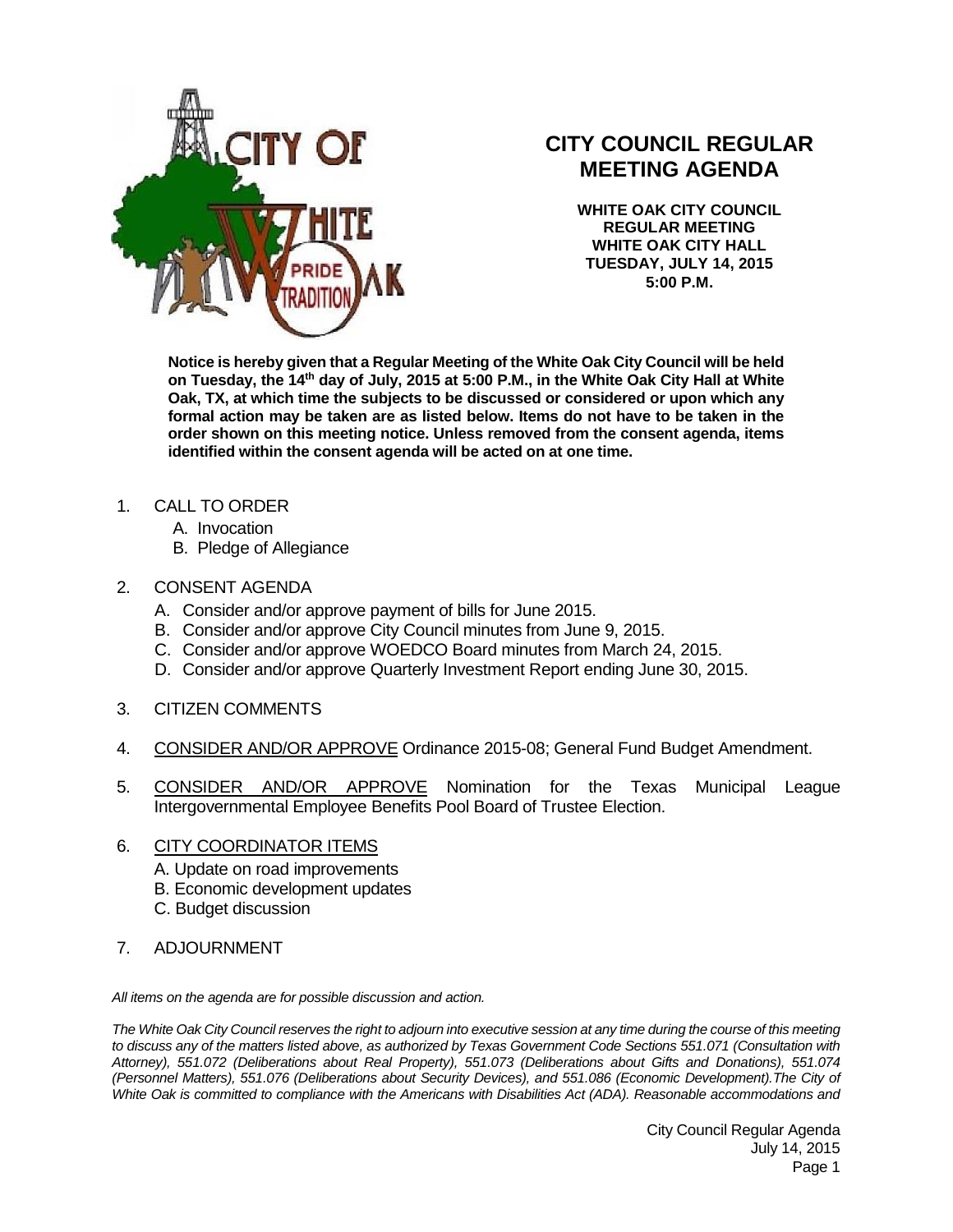

## **CITY COUNCIL REGULAR MEETING AGENDA**

**WHITE OAK CITY COUNCIL REGULAR MEETING WHITE OAK CITY HALL TUESDAY, JULY 14, 2015 5:00 P.M.**

**Notice is hereby given that a Regular Meeting of the White Oak City Council will be held on Tuesday, the 14th day of July, 2015 at 5:00 P.M., in the White Oak City Hall at White Oak, TX, at which time the subjects to be discussed or considered or upon which any formal action may be taken are as listed below. Items do not have to be taken in the order shown on this meeting notice. Unless removed from the consent agenda, items identified within the consent agenda will be acted on at one time.**

- 1. CALL TO ORDER
	- A. Invocation
	- B. Pledge of Allegiance
- 2. CONSENT AGENDA
	- A. Consider and/or approve payment of bills for June 2015.
	- B. Consider and/or approve City Council minutes from June 9, 2015.
	- C. Consider and/or approve WOEDCO Board minutes from March 24, 2015.
	- D. Consider and/or approve Quarterly Investment Report ending June 30, 2015.
- 3. CITIZEN COMMENTS
- 4. CONSIDER AND/OR APPROVE Ordinance 2015-08; General Fund Budget Amendment.
- 5. CONSIDER AND/OR APPROVE Nomination for the Texas Municipal League Intergovernmental Employee Benefits Pool Board of Trustee Election.

## 6. CITY COORDINATOR ITEMS

- A. Update on road improvements
- B. Economic development updates
- C. Budget discussion
- 7. ADJOURNMENT

*All items on the agenda are for possible discussion and action.*

*The White Oak City Council reserves the right to adjourn into executive session at any time during the course of this meeting to discuss any of the matters listed above, as authorized by Texas Government Code Sections 551.071 (Consultation with Attorney), 551.072 (Deliberations about Real Property), 551.073 (Deliberations about Gifts and Donations), 551.074 (Personnel Matters), 551.076 (Deliberations about Security Devices), and 551.086 (Economic Development).The City of White Oak is committed to compliance with the Americans with Disabilities Act (ADA). Reasonable accommodations and* 

> City Council Regular Agenda July 14, 2015 Page 1